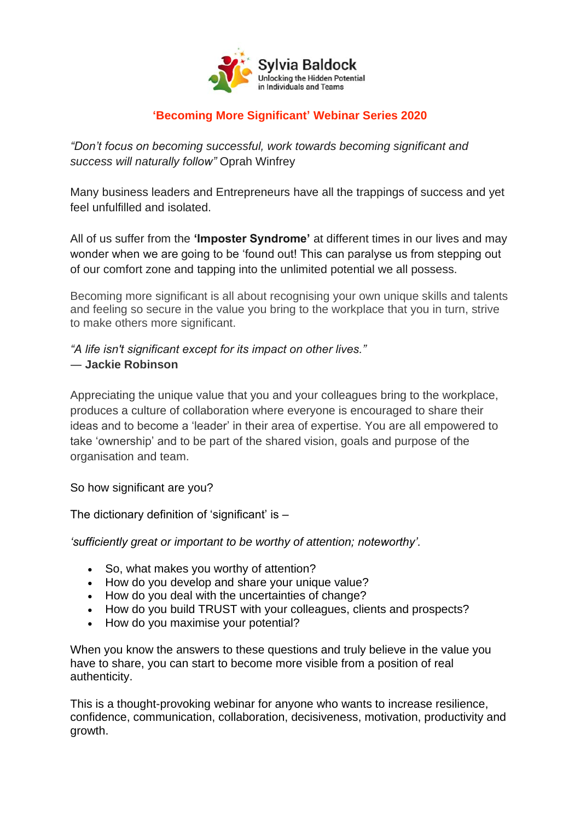

### **'Becoming More Significant' Webinar Series 2020**

*"Don't focus on becoming successful, work towards becoming significant and success will naturally follow"* Oprah Winfrey

Many business leaders and Entrepreneurs have all the trappings of success and yet feel unfulfilled and isolated.

All of us suffer from the **'Imposter Syndrome'** at different times in our lives and may wonder when we are going to be 'found out! This can paralyse us from stepping out of our comfort zone and tapping into the unlimited potential we all possess.

Becoming more significant is all about recognising your own unique skills and talents and feeling so secure in the value you bring to the workplace that you in turn, strive to make others more significant.

*"A life isn't significant except for its impact on other lives."* ― **Jackie Robinson**

Appreciating the unique value that you and your colleagues bring to the workplace, produces a culture of collaboration where everyone is encouraged to share their ideas and to become a 'leader' in their area of expertise. You are all empowered to take 'ownership' and to be part of the shared vision, goals and purpose of the organisation and team.

So how significant are you?

The dictionary definition of 'significant' is –

*'sufficiently great or important to be worthy of attention; noteworthy'.*

- So, what makes you worthy of attention?
- How do you develop and share your unique value?
- How do you deal with the uncertainties of change?
- How do you build TRUST with your colleagues, clients and prospects?
- How do you maximise your potential?

When you know the answers to these questions and truly believe in the value you have to share, you can start to become more visible from a position of real authenticity.

This is a thought-provoking webinar for anyone who wants to increase resilience, confidence, communication, collaboration, decisiveness, motivation, productivity and growth.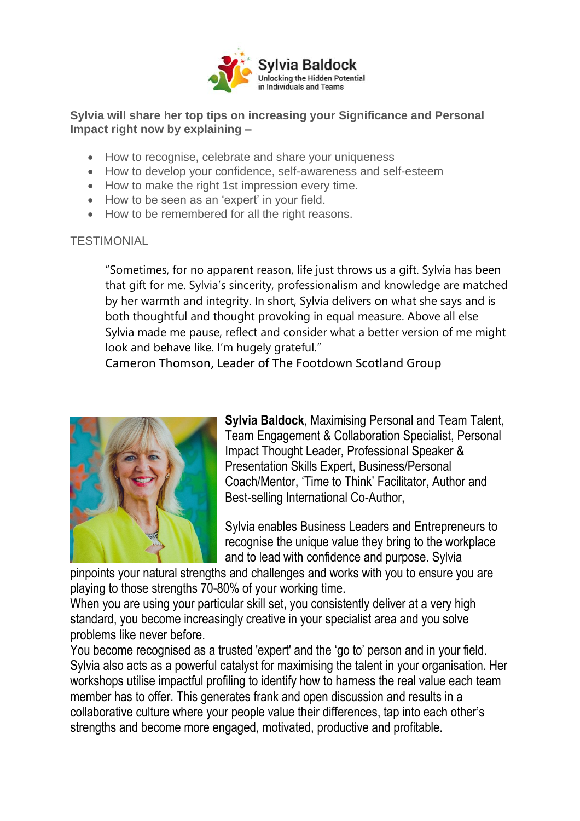

#### **Sylvia will share her top tips on increasing your Significance and Personal Impact right now by explaining –**

- How to recognise, celebrate and share your uniqueness
- How to develop your confidence, self-awareness and self-esteem
- How to make the right 1st impression every time.
- How to be seen as an 'expert' in your field.
- How to be remembered for all the right reasons.

#### **TESTIMONIAL**

"Sometimes, for no apparent reason, life just throws us a gift. Sylvia has been that gift for me. Sylvia's sincerity, professionalism and knowledge are matched by her warmth and integrity. In short, Sylvia delivers on what she says and is both thoughtful and thought provoking in equal measure. Above all else Sylvia made me pause, reflect and consider what a better version of me might look and behave like. I'm hugely grateful."

Cameron Thomson, Leader of The Footdown Scotland Group



**Sylvia Baldock**, Maximising Personal and Team Talent, Team Engagement & Collaboration Specialist, Personal Impact Thought Leader, Professional Speaker & Presentation Skills Expert, Business/Personal Coach/Mentor, 'Time to Think' Facilitator, Author and Best-selling International Co-Author,

Sylvia enables Business Leaders and Entrepreneurs to recognise the unique value they bring to the workplace and to lead with confidence and purpose. Sylvia

pinpoints your natural strengths and challenges and works with you to ensure you are playing to those strengths 70-80% of your working time.

When you are using your particular skill set, you consistently deliver at a very high standard, you become increasingly creative in your specialist area and you solve problems like never before.

You become recognised as a trusted 'expert' and the 'go to' person and in your field. Sylvia also acts as a powerful catalyst for maximising the talent in your organisation. Her workshops utilise impactful profiling to identify how to harness the real value each team member has to offer. This generates frank and open discussion and results in a collaborative culture where your people value their differences, tap into each other's strengths and become more engaged, motivated, productive and profitable.